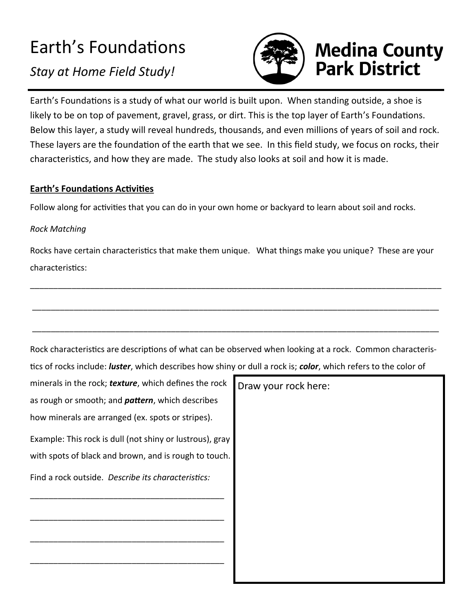## Earth's Foundations

*Stay at Home Field Study!*



# **Medina County<br>Park District**

Earth's Foundations is a study of what our world is built upon. When standing outside, a shoe is likely to be on top of pavement, gravel, grass, or dirt. This is the top layer of Earth's Foundations. Below this layer, a study will reveal hundreds, thousands, and even millions of years of soil and rock. These layers are the foundation of the earth that we see. In this field study, we focus on rocks, their characteristics, and how they are made. The study also looks at soil and how it is made.

### **Earth's Foundations Activities**

Follow along for activities that you can do in your own home or backyard to learn about soil and rocks.

### *Rock Matching*

Rocks have certain characteristics that make them unique. What things make you unique? These are your characteristics:

\_\_\_\_\_\_\_\_\_\_\_\_\_\_\_\_\_\_\_\_\_\_\_\_\_\_\_\_\_\_\_\_\_\_\_\_\_\_\_\_\_\_\_\_\_\_\_\_\_\_\_\_\_\_\_\_\_\_\_\_\_\_\_\_\_\_\_\_\_\_\_\_\_\_\_\_\_\_\_\_\_\_\_\_\_\_\_\_\_

\_\_\_\_\_\_\_\_\_\_\_\_\_\_\_\_\_\_\_\_\_\_\_\_\_\_\_\_\_\_\_\_\_\_\_\_\_\_\_\_\_\_\_\_\_\_\_\_\_\_\_\_\_\_\_\_\_\_\_\_\_\_\_\_\_\_\_\_\_\_\_\_\_\_\_\_\_\_\_\_\_\_\_\_\_\_\_\_

| Rock characteristics are descriptions of what can be observed when looking at a rock. Common characteris-               |
|-------------------------------------------------------------------------------------------------------------------------|
| tics of rocks include: <i>luster</i> , which describes how shiny or dull a rock is; color, which refers to the color of |

| minerals in the rock; texture, which defines the rock    | Draw your rock here: |
|----------------------------------------------------------|----------------------|
| as rough or smooth; and <i>pattern</i> , which describes |                      |
| how minerals are arranged (ex. spots or stripes).        |                      |
| Example: This rock is dull (not shiny or lustrous), gray |                      |
| with spots of black and brown, and is rough to touch.    |                      |
| Find a rock outside. Describe its characteristics:       |                      |
|                                                          |                      |
|                                                          |                      |
|                                                          |                      |
|                                                          |                      |
|                                                          |                      |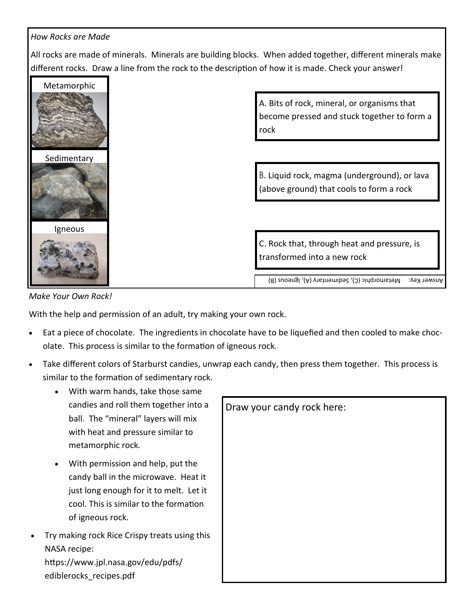#### *How Rocks are Made*

All rocks are made of minerals. Minerals are building blocks. When added together, different minerals make different rocks. Draw a line from the rock to the description of how it is made. Check your answer!





With the help and permission of an adult, try making your own rock.

- Eat a piece of chocolate. The ingredients in chocolate have to be liquefied and then cooled to make chocolate. This process is similar to the formation of igneous rock.
- Take different colors of Starburst candies, unwrap each candy, then press them together. This process is similar to the formation of sedimentary rock.
	- With warm hands, take those same candies and roll them together into a ball. The "mineral" layers will mix with heat and pressure similar to metamorphic rock.
	- With permission and help, put the candy ball in the microwave. Heat it just long enough for it to melt. Let it cool. This is similar to the formation of igneous rock.
- Try making rock Rice Crispy treats using this NASA recipe:

https://www.jpl.nasa.gov/edu/pdfs/ ediblerocks\_recipes.pdf

| Draw your candy rock here: |  |  |  |
|----------------------------|--|--|--|
|                            |  |  |  |
|                            |  |  |  |
|                            |  |  |  |
|                            |  |  |  |
|                            |  |  |  |
|                            |  |  |  |
|                            |  |  |  |
|                            |  |  |  |
|                            |  |  |  |